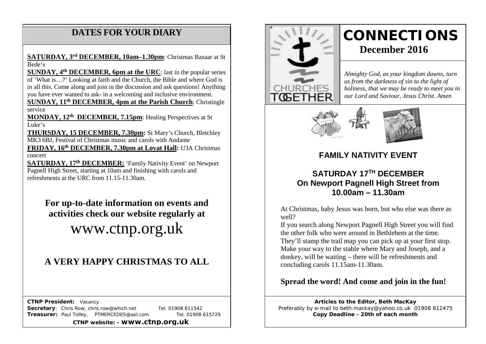## **DATES FOR YOUR DIARY**

**SATURDAY, 3rd DECEMBER, 10am–1.30pm**: Christmas Bazaar at St Bede's

in all this. Come along and join in the discussion and ask questions! Anything **SUNDAY, 4th DECEMBER, 6pm at the URC**: last in the popular series of 'What is…?' Looking at faith and the Church, the Bible and where God is you have ever wanted to ask- in a welcoming and inclusive environment.

**SUNDAY, 11th DECEMBER, 4pm at the Parish Church**: Christingle service

**MONDAY, 12th DECEMBER, 7.15pm**: Healing Perspectives at St Luke's

**THURSDAY, 15 DECEMBER, 7.30pm:** St Mary's Church, Bletchley MK3 6BJ, Festival of Christmas music and carols with Andante **FRIDAY, 16th DECEMBER, 7.30pm at Lovat Hall:** U3A Christmas concert

**SATURDAY, 17th DECEMBER:** 'Family Nativity Event' on Newport Pagnell High Street, starting at 10am and finishing with carols and refreshments at the URC from 11.15-11.30am.

**For up-to-date information on events and activities check our website regularly at**

[www.ctnp.org.uk](http://www.ctnp.org.uk/)

# **A VERY HAPPY CHRISTMAS TO ALL**

 **CTNP President:** Vacancy

**Secretary:** Chris Row, chris.row@which.net Tel. 01908 611542 **Treasurer:** Paul Tolley, PTMERCEDES@aol.com Tel. 01908 615729

**CTNP website: - www.ctnp.org.uk**



# **CONNECTIONS December 2016**

*Almighty God, as your kingdom dawns, turn us from the darkness of sin to the light of holiness, that we may be ready to meet you in our Lord and Saviour, Jesus Christ. Amen*



## **FAMILY NATIVITY EVENT**

## **SATURDAY 17TH DECEMBER On Newport Pagnell High Street from 10.00am – 11.30am**

At Christmas, baby Jesus was born, but who else was there as well?

If you search along Newport Pagnell High Street you will find the other folk who were around in Bethlehem at the time. They'll stamp the trail map you can pick up at your first stop. Make your way to the stable where Mary and Joseph, and a donkey, will be waiting – there will be refreshments and concluding carols 11.15am-11.30am.

## **Spread the word! And come and join in the fun!**

**Articles to the Editor, Beth MacKay** Preferably by e-mail to beth.mackay@yahoo.co.uk 01908 612475 **Copy Deadline - 20th of each month**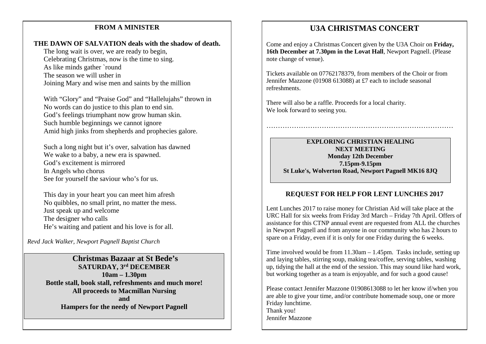#### mee **FROM A MINISTER**

#### **THE DAWN OF SALVATION deals with the shadow of death.**

The long wait is over, we are ready to begin, Celebrating Christmas, now is the time to sing. As like minds gather `round The season we will usher in Joining Mary and wise men and saints by the million

With "Glory" and "Praise God" and "Hallelujahs" thrown in No words can do justice to this plan to end sin. God's feelings triumphant now grow human skin. Such humble beginnings we cannot ignore Amid high jinks from shepherds and prophecies galore.

Such a long night but it's over, salvation has dawned We wake to a baby, a new era is spawned. God's excitement is mirrored In Angels who chorus See for yourself the saviour who's for us.

This day in your heart you can meet him afresh No quibbles, no small print, no matter the mess. Just speak up and welcome The designer who calls He's waiting and patient and his love is for all.

*Revd Jack Walker, Newport Pagnell Baptist Church*

**Christmas Bazaar at St Bede's SATURDAY, 3rd DECEMBER 10am – 1.30pm Bottle stall, book stall, refreshments and much more! All proceeds to Macmillan Nursing and Hampers for the needy of Newport Pagnell**

#### **U3A CHRISTMAS CONCERT**

Come and enjoy a Christmas Concert given by the U3A Choir on **Friday, 16th December at 7.30pm in the Lovat Hall**, Newport Pagnell. (Please note change of venue).

Tickets available on 07762178379, from members of the Choir or from Jennifer Mazzone (01908 613088) at £7 each to include seasonal refreshments.

There will also be a raffle. Proceeds for a local charity. We look forward to seeing you.

………………………………………………………………………

#### **EXPLORING CHRISTIAN HEALING NEXT MEETING Monday 12th December 7.15pm-9.15pm St Luke's, Wolverton Road, Newport Pagnell MK16 8JQ**

#### **REQUEST FOR HELP FOR LENT LUNCHES 2017**

Lent Lunches 2017 to raise money for Christian Aid will take place at the URC Hall for six weeks from Friday 3rd March – Friday 7th April. Offers of assistance for this CTNP annual event are requested from ALL the churches in Newport Pagnell and from anyone in our community who has 2 hours to spare on a Friday, even if it is only for one Friday during the 6 weeks.

Time involved would be from 11.30am – 1.45pm. Tasks include, setting up and laying tables, stirring soup, making tea/coffee, serving tables, washing up, tidying the hall at the end of the session. This may sound like hard work, but working together as a team is enjoyable, and for such a good cause!

Please contact Jennifer Mazzone 01908613088 to let her know if/when you are able to give your time, and/or contribute homemade soup, one or more Friday lunchtime. Thank you! Jennifer Mazzone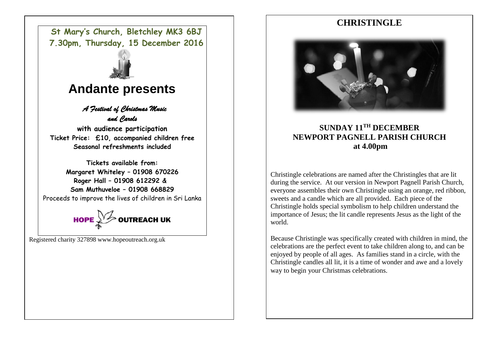**St Mary's Church, Bletchley MK3 6BJ 7.30pm, Thursday, 15 December 2016**



# **Andante presents**

 *A Festival of Christmas Music and Carols* 

**with audience participation Ticket Price: £10, accompanied children free Seasonal refreshments included**

**Tickets available from: Margaret Whiteley – 01908 670226 Roger Hall – 01908 612292 & Sam Muthuveloe – 01908 668829** Proceeds to improve the lives of children in Sri Lanka

**HOPE OUTREACH UK** 

Registered charity 327898 www.hopeoutreach.org.uk

## **CHRISTINGLE**



## **SUNDAY 11TH DECEMBER NEWPORT PAGNELL PARISH CHURCH at 4.00pm**

Christingle celebrations are named after the Christingles that are lit during the service. At our version in Newport Pagnell Parish Church, everyone assembles their own Christingle using an orange, red ribbon, sweets and a candle which are all provided. Each piece of the Christingle holds special symbolism to help children understand the importance of Jesus; the lit candle represents Jesus as the light of the world.

Because Christingle was specifically created with children in mind, the celebrations are the perfect event to take children along to, and can be enjoyed by people of all ages. As families stand in a circle, with the Christingle candles all lit, it is a time of wonder and awe and a lovely way to begin your Christmas celebrations.